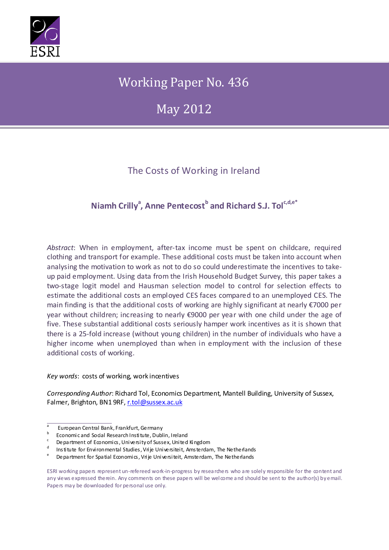

# Working Paper No. 436

May 2012

## The Costs of Working in Ireland

## **Niamh Crilly<sup>a</sup> , Anne Pentecost<sup>b</sup> and Richard S.J. Tolc,d,e\***

*Abstract*: When in employment, after-tax income must be spent on childcare, required clothing and transport for example. These additional costs must be taken into account when analysing the motivation to work as not to do so could underestimate the incentives to takeup paid employment. Using data from the Irish Household Budget Survey, this paper takes a two-stage logit model and Hausman selection model to control for selection effects to estimate the additional costs an employed CES faces compared to an unemployed CES. The main finding is that the additional costs of working are highly significant at nearly €7000 per year without children; increasing to nearly €9000 per year with one child under the age of five. These substantial additional costs seriously hamper work incentives as it is shown that there is a 25-fold increase (without young children) in the number of individuals who have a higher income when unemployed than when in employment with the inclusion of these additional costs of working.

#### *Key words*: costs of working, work incentives

*Corresponding Author*: Richard Tol, Economics Department, Mantell Building, University of Sussex, Falmer, Brighton, BN1 9RF, [r.tol@sussex.ac.uk](mailto:r.tol@sussex.ac.uk)

 $\frac{a}{b}$  European Central Bank, Frankfurt, Germany

b Economic and Social Research Institute, Dublin, Ireland c Department of Economics, University of Sussex, United Kingdom

Institute for Environmental Studies, Vrije Universiteit, Amsterdam, The Netherlands

Department for Spatial Economics, Vrije Universiteit, Amsterdam, The Netherlands

ESRI working papers represent un-refereed work-in-progress by researchers who are solely responsible for the content and any views expressed therein. Any comments on these papers will be welcome and should be sent to the author(s) by email. Papers may be downloaded for personal use only.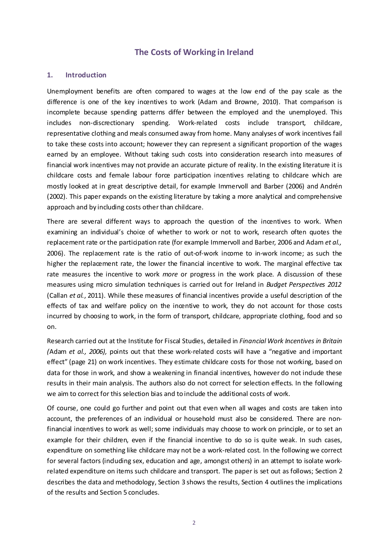## **The Costs of Working in Ireland**

#### **1. Introduction**

Unemployment benefits are often compared to wages at the low end of the pay scale as the difference is one of the key incentives to work (Adam and Browne, 2010). That comparison is incomplete because spending patterns differ between the employed and the unemployed. This includes non-discrectionary spending. Work-related costs include transport, childcare, representative clothing and meals consumed away from home. Many analyses of work incentives fail to take these costs into account; however they can represent a significant proportion of the wages earned by an employee. Without taking such costs into consideration research into measures of financial work incentives may not provide an accurate picture of reality. In the existing literature it is childcare costs and female labour force participation incentives relating to childcare which are mostly looked at in great descriptive detail, for example Immervoll and Barber (2006) and Andrén (2002). This paper expands on the existing literature by taking a more analytical and comprehensive approach and by including costs other than childcare.

There are several different ways to approach the question of the incentives to work. When examining an individual's choice of whether to work or not to work, research often quotes the replacement rate or the participation rate (for example Immervoll and Barber, 2006 and Adam *et al.,* 2006). The replacement rate is the ratio of out-of-work income to in-work income; as such the higher the replacement rate, the lower the financial incentive to work. The marginal effective tax rate measures the incentive to work *more* or progress in the work place. A discussion of these measures using micro simulation techniques is carried out for Ireland in *Budget Perspectives 2012* (Callan *et al.*, 2011). While these measures of financial incentives provide a useful description of the effects of tax and welfare policy on the incentive to work, they do not account for those costs incurred by choosing to work, in the form of transport, childcare, appropriate clothing, food and so on.

Research carried out at the Institute for Fiscal Studies, detailed in *Financial Work Incentives in Britain (*Adam *et al., 2006),* points out that these work-related costs will have a "negative and important effect" (page 21) on work incentives. They estimate childcare costs for those not working, based on data for those in work, and show a weakening in financial incentives, however do not indude these results in their main analysis. The authors also do not correct for selection effects. In the following we aim to correct for this selection bias and to include the additional costs of work.

Of course, one could go further and point out that even when all wages and costs are taken into account, the preferences of an individual or household must also be considered. There are nonfinancial incentives to work as well; some individuals may choose to work on principle, or to set an example for their children, even if the financial incentive to do so is quite weak. In such cases, expenditure on something like childcare may not be a work-related cost. In the following we correct for several factors (induding sex, education and age, amongst others) in an attempt to isolate workrelated expenditure on items such childcare and transport. The paper is set out as follows; Section 2 describes the data and methodology, Section 3 shows the results, Section 4 outlines the implications of the results and Section 5 concludes.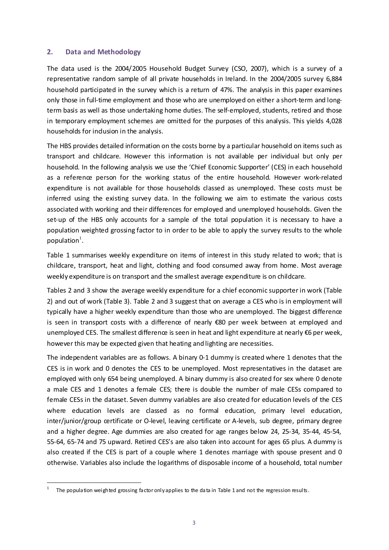#### **2. Data and Methodology**

The data used is the 2004/2005 Household Budget Survey (CSO, 2007), which is a survey of a representative random sample of all private households in Ireland. In the 2004/2005 survey 6,884 household participated in the survey which is a return of 47%. The analysis in this paper examines only those in full-time employment and those who are unemployed on either a short-term and longterm basis as well as those undertaking home duties. The self-employed, students, retired and those in temporary employment schemes are omitted for the purposes of this analysis. This yields 4,028 households for inclusion in the analysis.

The HBS provides detailed information on the costs borne by a particular household on items such as transport and childcare. However this information is not available per individual but only per household. In the following analysis we use the 'Chief Economic Supporter' (CES) in each household as a reference person for the working status of the entire household. However work-related expenditure is not available for those households classed as unemployed. These costs must be inferred using the existing survey data. In the following we aim to estimate the various costs associated with working and their differences for employed and unemployed households. Given the set-up of the HBS only accounts for a sample of the total population it is necessary to have a population weighted grossing factor to in order to be able to apply the survey results to the whole population $^1$  $^1$ .

Table 1 summarises weekly expenditure on items of interest in this study related to work; that is childcare, transport, heat and light, clothing and food consumed away from home. Most average weekly expenditure is on transport and the smallest average expenditure is on childcare.

Tables 2 and 3 show the average weekly expenditure for a chief economic supporter in work (Table 2) and out of work (Table 3). Table 2 and 3 suggest that on average a CES who is in employment will typically have a higher weekly expenditure than those who are unemployed. The biggest difference is seen in transport costs with a difference of nearly €80 per week between at employed and unemployed CES. The smallest difference is seen in heat and light expenditure at nearly €6 per week, however this may be expected given that heating and lighting are necessities.

The independent variables are as follows. A binary 0-1 dummy is created where 1 denotes that the CES is in work and 0 denotes the CES to be unemployed. Most representatives in the dataset are employed with only 654 being unemployed. A binary dummy is also created for sex where 0 denote a male CES and 1 denotes a female CES; there is double the number of male CESs compared to female CESs in the dataset. Seven dummy variables are also created for education levels of the CES where education levels are classed as no formal education, primary level education, inter/junior/group certificate or O-level, leaving certificate or A-levels, sub degree, primary degree and a higher degree. Age dummies are also created for age ranges below 24, 25-34, 35-44, 45-54, 55-64, 65-74 and 75 upward. Retired CES's are also taken into account for ages 65 plus. A dummy is also created if the CES is part of a couple where 1 denotes marriage with spouse present and 0 otherwise. Variables also include the logarithms of disposable income of a household, total number

<span id="page-2-0"></span>The population weighted grossing factor only applies to the data in Table 1 and not the regression results.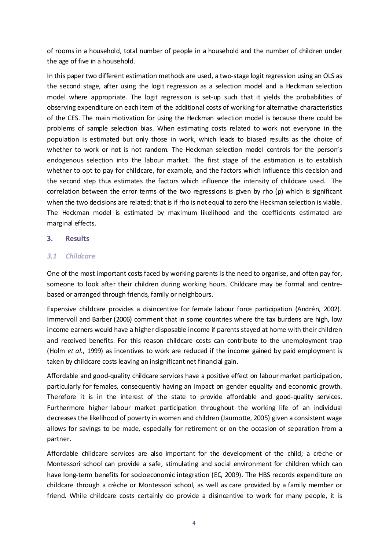of rooms in a household, total number of people in a household and the number of children under the age of five in a household.

In this paper two different estimation methods are used, a two-stage logit regression using an OLS as the second stage, after using the logit regression as a selection model and a Heckman selection model where appropriate. The logit regression is set-up such that it yields the probabilities of observing expenditure on each item of the additional costs of working for alternative characteristics of the CES. The main motivation for using the Heckman selection model is because there could be problems of sample selection bias. When estimating costs related to work not everyone in the population is estimated but only those in work, which leads to biased results as the choice of whether to work or not is not random. The Heckman selection model controls for the person's endogenous selection into the labour market. The first stage of the estimation is to establish whether to opt to pay for childcare, for example, and the factors which influence this decision and the second step thus estimates the factors which influence the intensity of childcare used. The correlation between the error terms of the two regressions is given by rho  $(\rho)$  which is significant when the two decisions are related; that is if rho is not equal to zero the Heckman selection is viable. The Heckman model is estimated by maximum likelihood and the coefficients estimated are marginal effects.

#### **3. Results**

#### *3.1 Childcare*

One of the most important costs faced by working parents is the need to organise, and often pay for, someone to look after their children during working hours. Childcare may be formal and centrebased or arranged through friends, family or neighbours.

Expensive childcare provides a disincentive for female labour force participation (Andrén, 2002). Immervoll and Barber (2006) comment that in some countries where the tax burdens are high, low income earners would have a higher disposable income if parents stayed at home with their children and received benefits. For this reason childcare costs can contribute to the unemployment trap (Holm *et al*., 1999) as incentives to work are reduced if the income gained by paid employment is taken by childcare costs leaving an insignificant net financial gain.

Affordable and good-quality childcare services have a positive effect on labour market participation, particularly for females, consequently having an impact on gender equality and economic growth. Therefore it is in the interest of the state to provide affordable and good-quality services. Furthermore higher labour market participation throughout the working life of an individual decreases the likelihood of poverty in women and children (Jaumotte, 2005) given a consistent wage allows for savings to be made, especially for retirement or on the occasion of separation from a partner.

Affordable childcare services are also important for the development of the child; a crèche or Montessori school can provide a safe, stimulating and social environment for children which can have long-term benefits for socioeconomic integration (EC, 2009). The HBS records expenditure on childcare through a crèche or Montessori school, as well as care provided by a family member or friend. While childcare costs certainly do provide a disincentive to work for many people, it is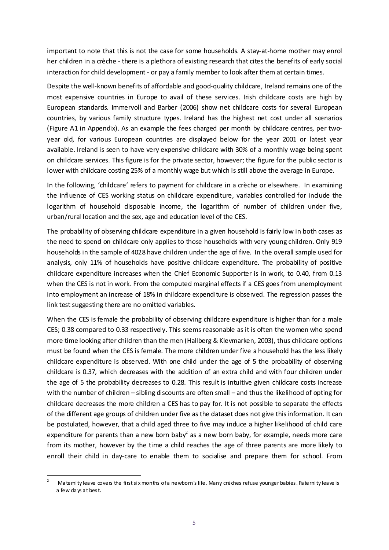important to note that this is not the case for some households. A stay-at-home mother may enrol her children in a crèche - there is a plethora of existing research that cites the benefits of early social interaction for child development - or pay a family member to look after them at certain times.

Despite the well-known benefits of affordable and good-quality childcare, Ireland remains one of the most expensive countries in Europe to avail of these services. Irish childcare costs are high by European standards. Immervoll and Barber (2006) show net childcare costs for several European countries, by various family structure types. Ireland has the highest net cost under all scenarios (Figure A1 in Appendix). As an example the fees charged per month by childcare centres, per twoyear old, for various European countries are displayed below for the year 2001 or latest year available. Ireland is seen to have very expensive childcare with 30% of a monthly wage being spent on childcare services. This figure is for the private sector, however; the figure for the public sector is lower with childcare costing 25% of a monthly wage but which is still above the average in Europe.

In the following, 'childcare' refers to payment for childcare in a crèche or elsewhere. In examining the influence of CES working status on childcare expenditure, variables controlled for indude the logarithm of household disposable income, the logarithm of number of children under five, urban/rural location and the sex, age and education level of the CES.

The probability of observing childcare expenditure in a given household is fairly low in both cases as the need to spend on childcare only applies to those households with very young children. Only 919 households in the sample of 4028 have children under the age of five. In the overall sample used for analysis, only 11% of households have positive childcare expenditure. The probability of positive childcare expenditure increases when the Chief Economic Supporter is in work, to 0.40, from 0.13 when the CES is not in work. From the computed marginal effects if a CES goes from unemployment into employment an increase of 18% in childcare expenditure is observed. The regression passes the link test suggesting there are no omitted variables.

When the CES is female the probability of observing childcare expenditure is higher than for a male CES; 0.38 compared to 0.33 respectively. This seems reasonable as it is often the women who spend more time looking after children than the men (Hallberg & Klevmarken, 2003), thus childcare options must be found when the CES is female. The more children under five a household has the less likely childcare expenditure is observed. With one child under the age of 5 the probability of observing childcare is 0.37, which decreases with the addition of an extra child and with four children under the age of 5 the probability decreases to 0.28. This result is intuitive given childcare costs increase with the number of children – sibling discounts are often small – and thus the likelihood of opting for childcare decreases the more children a CES has to pay for. It is not possible to separate the effects of the different age groups of children under five as the dataset does not give this information. It can be postulated, however, that a child aged three to five may induce a higher likelihood of child care expenditure for parents than a new born baby<sup>[2](#page-4-0)</sup> as a new born baby, for example, needs more care from its mother, however by the time a child reaches the age of three parents are more likely to enroll their child in day-care to enable them to socialise and prepare them for school. From

<span id="page-4-0"></span>Matemity leave covers the first six months of a newborn's life. Many crèches refuse younger babies. Paternity leave is a few days at best.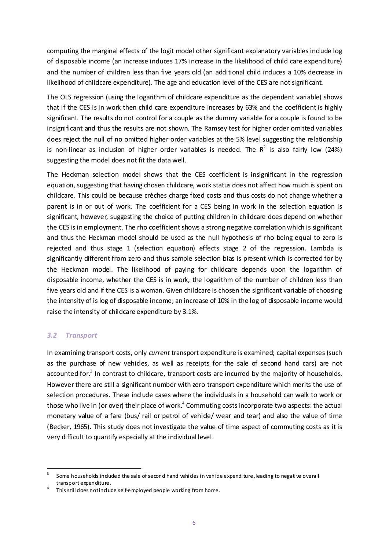computing the marginal effects of the logit model other significant explanatory variables include log of disposable income (an increase induces 17% increase in the likelihood of child care expenditure) and the number of children less than five years old (an additional child induces a 10% decrease in likelihood of childcare expenditure). The age and education level of the CES are not significant.

The OLS regression (using the logarithm of childcare expenditure as the dependent variable) shows that if the CES is in work then child care expenditure increases by 63% and the coefficient is highly significant. The results do not control for a couple as the dummy variable for a couple is found to be insignificant and thus the results are not shown. The Ramsey test for higher order omitted variables does reject the null of no omitted higher order variables at the 5% level suggesting the relationship is non-linear as indusion of higher order variables is needed. The  $R^2$  is also fairly low (24%) suggesting the model does not fit the data well.

The Heckman selection model shows that the CES coefficient is insignificant in the regression equation, suggesting that having chosen childcare, work status does not affect how much is spent on childcare. This could be because crèches charge fixed costs and thus costs do not change whether a parent is in or out of work. The coefficient for a CES being in work in the selection equation is significant, however, suggesting the choice of putting children in childcare does depend on whether the CES is in employment. The rho coefficient shows a strong negative correlation which is significant and thus the Heckman model should be used as the null hypothesis of rho being equal to zero is rejected and thus stage 1 (selection equation) effects stage 2 of the regression. Lambda is significantly different from zero and thus sample selection bias is present which is corrected for by the Heckman model. The likelihood of paying for childcare depends upon the logarithm of disposable income, whether the CES is in work, the logarithm of the number of children less than five years old and if the CES is a woman. Given childcare is chosen the significant variable of choosing the intensity of is log of disposable income; an increase of 10% in the log of disposable income would raise the intensity of childcare expenditure by 3.1%.

#### *3.2 Transport*

In examining transport costs, only *current* transport expenditure is examined; capital expenses (such as the purchase of new vehides, as well as receipts for the sale of second hand cars) are not accounted for. $3$  In contrast to childcare, transport costs are incurred by the majority of households. However there are still a significant number with zero transport expenditure which merits the use of selection procedures. These include cases where the individuals in a household can walk to work or those who live in (or over) their place of work.<sup>[4](#page-5-1)</sup> Commuting costs incorporate two aspects: the actual monetary value of a fare (bus/ rail or petrol of vehicle/ wear and tear) and also the value of time (Becker, 1965). This study does not investigate the value of time aspect of commuting costs as it is very difficult to quantify especially at the individual level.

<span id="page-5-0"></span>Some households induded the sale of second hand vehides in vehide expenditure, leading to negative overall transport expenditure.<br>This still does not include self-employed people working from home.

<span id="page-5-1"></span>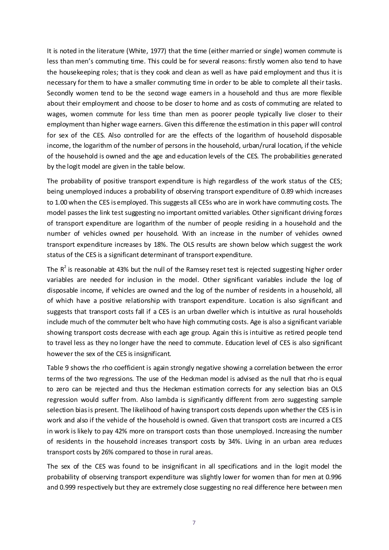It is noted in the literature (White, 1977) that the time (either married or single) women commute is less than men's commuting time. This could be for several reasons: firstly women also tend to have the housekeeping roles; that is they cook and clean as well as have paid employment and thus it is necessary for them to have a smaller commuting time in order to be able to complete all their tasks. Secondly women tend to be the second wage eamers in a household and thus are more flexible about their employment and choose to be doser to home and as costs of commuting are related to wages, women commute for less time than men as poorer people typically live closer to their employment than higher wage earners. Given this difference the estimation in this paper will control for sex of the CES. Also controlled for are the effects of the logarithm of household disposable income, the logarithm of the number of persons in the household, urban/rural location, if the vehicle of the household is owned and the age and education levels of the CES. The probabilities generated by the logit model are given in the table below.

The probability of positive transport expenditure is high regardless of the work status of the CES; being unemployed induces a probability of observing transport expenditure of 0.89 which increases to 1.00 when the CES is employed. This suggests all CESs who are in work have commuting costs. The model passes the link test suggesting no important omitted variables. Other significant driving forces of transport expenditure are logarithm of the number of people residing in a household and the number of vehicles owned per household. With an increase in the number of vehicles owned transport expenditure increases by 18%. The OLS results are shown below which suggest the work status of the CES is a significant determinant of transport expenditure.

The  $R^2$  is reasonable at 43% but the null of the Ramsey reset test is rejected suggesting higher order variables are needed for inclusion in the model. Other significant variables include the log of disposable income, if vehicles are owned and the log of the number of residents in a household, all of which have a positive relationship with transport expenditure. Location is also significant and suggests that transport costs fall if a CES is an urban dweller which is intuitive as rural households include much of the commuter belt who have high commuting costs. Age is also a significant variable showing transport costs decrease with each age group. Again this is intuitive as retired people tend to travel less as they no longer have the need to commute. Education level of CES is also significant however the sex of the CES is insignificant.

Table 9 shows the rho coefficient is again strongly negative showing a correlation between the error terms of the two regressions. The use of the Heckman model is advised as the null that rho is equal to zero can be rejected and thus the Heckman estimation corrects for any selection bias an OLS regression would suffer from. Also lambda is significantly different from zero suggesting sample selection bias is present. The likelihood of having transport costs depends upon whether the CES is in work and also if the vehide of the household is owned. Given that transport costs are incurred a CES in work is likely to pay 42% more on transport costs than those unemployed. Increasing the number of residents in the household increases transport costs by 34%. Living in an urban area reduces transport costs by 26% compared to those in rural areas.

The sex of the CES was found to be insignificant in all specifications and in the logit model the probability of observing transport expenditure was slightly lower for women than for men at 0.996 and 0.999 respectively but they are extremely close suggesting no real difference here between men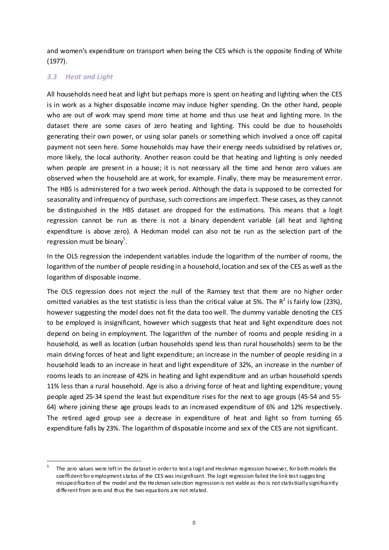and women's expenditure on transport when being the CES which is the opposite finding of White (1977).

### *3.3 Heat and Light*

All households need heat and light but perhaps more is spent on heating and lighting when the CES is in work as a higher disposable income may induce higher spending. On the other hand, people who are out of work may spend more time at home and thus use heat and lighting more. In the dataset there are some cases of zero heating and lighting. This could be due to households generating their own power, or using solar panels or something which involved a once off capital payment not seen here. Some households may have their energy needs subsidised by relatives or, more likely, the local authority. Another reason could be that heating and lighting is only needed when people are present in a house; it is not necessary all the time and hence zero values are observed when the household are at work, for example. Finally, there may be measurement error. The HBS is administered for a two week period. Although the data is supposed to be corrected for seasonality and infrequency of purchase, such corrections are imperfect. These cases, as they cannot be distinguished in the HBS dataset are dropped for the estimations. This means that a logit regression cannot be run as there is not a binary dependent variable (all heat and lighting expenditure is above zero). A Heckman model can also not be run as the selection part of the regression must be binary<sup>[5](#page-7-0)</sup>.

In the OLS regression the independent variables indude the logarithm of the number of rooms, the logarithm of the number of people residing in a household, location and sex of the CES as well as the logarithm of disposable income.

The OLS regression does not reject the null of the Ramsey test that there are no higher order omitted variables as the test statistic is less than the critical value at 5%. The  $R^2$  is fairly low (23%), however suggesting the model does not fit the data too well. The dummy variable denoting the CES to be employed is insignificant, however which suggests that heat and light expenditure does not depend on being in employment. The logarithm of the number of rooms and people residing in a household, as well as location (urban households spend less than rural households) seem to be the main driving forces of heat and light expenditure; an increase in the number of people residing in a household leads to an increase in heat and light expenditure of 32%, an increase in the number of rooms leads to an increase of 42% in heating and light expenditure and an urban household spends 11% less than a rural household. Age is also a driving force of heat and lighting expenditure; young people aged 25-34 spend the least but expenditure rises for the next to age groups (45-54 and 55- 64) where joining these age groups leads to an increased expenditure of 6% and 12% respectively. The retired aged group see a decrease in expenditure of heat and light so from turning 65 expenditure falls by 23%. The logarithm of disposable income and sex of the CES are not significant.

<span id="page-7-0"></span>The zero values were left in the dataset in order to test a logit and Heckman regression however, for both models the coefficient for employment status of the CES was insignificant. The logit regression failed the link test suggesting misspecification of the model and the Heckman selection regression is not viable as rho is not statistically significantly different from zero and thus the two equations are not related.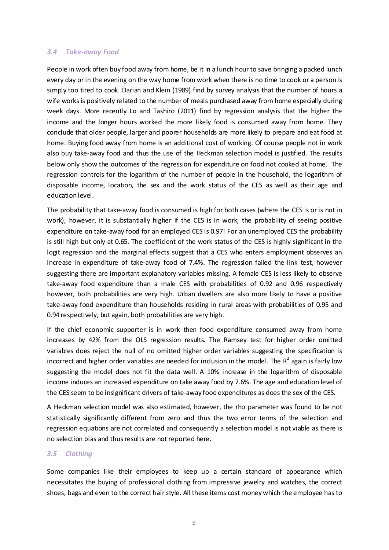#### *3.4 Take-away Food*

People in work often buy food away from home, be it in a lunch hour to save bringing a packed lunch every day or in the evening on the way home from work when there is no time to cook or a person is simply too tired to cook. Darian and Klein (1989) find by survey analysis that the number of hours a wife works is positively related to the number of meals purchased away from home especially during week days. More recently Lo and Tashiro (2011) find by regression analysis that the higher the income and the longer hours worked the more likely food is consumed away from home. They conclude that older people, larger and poorer households are more likely to prepare and eat food at home. Buying food away from home is an additional cost of working. Of course people not in work also buy take-away food and thus the use of the Heckman selection model is justified. The results below only show the outcomes of the regression for expenditure on food not cooked at home. The regression controls for the logarithm of the number of people in the household, the logarithm of disposable income, location, the sex and the work status of the CES as well as their age and education level.

The probability that take-away food is consumed is high for both cases (where the CES is or is not in work), however, it is substantially higher if the CES is in work; the probability of seeing positive expenditure on take-away food for an employed CES is 0.97! For an unemployed CES the probability is still high but only at 0.65. The coefficient of the work status of the CES is highly significant in the logit regression and the marginal effects suggest that a CES who enters employment observes an increase in expenditure of take-away food of 7.4%. The regression failed the link test, however suggesting there are important explanatory variables missing. A female CES is less likely to observe take-away food expenditure than a male CES with probabilities of 0.92 and 0.96 respectively however, both probabilities are very high. Urban dwellers are also more likely to have a positive take-away food expenditure than households residing in rural areas with probabilities of 0.95 and 0.94 respectively, but again, both probabilities are very high.

If the chief economic supporter is in work then food expenditure consumed away from home increases by 42% from the OLS regression results. The Ramsey test for higher order omitted variables does reject the null of no omitted higher order variables suggesting the specification is incorrect and higher order variables are needed for indusion in the model. The  $R^2$  again is fairly low suggesting the model does not fit the data well. A 10% increase in the logarithm of disposable income induces an increased expenditure on take away food by 7.6%. The age and education level of the CES seem to be insignificant drivers of take-away food expenditures as does the sex of the CES.

A Heckman selection model was also estimated, however, the rho parameter was found to be not statistically significantly different from zero and thus the two error terms of the selection and regression equations are not correlated and consequently a selection model is not viable as there is no selection bias and thus results are not reported here.

#### *3.5 Clothing*

Some companies like their employees to keep up a certain standard of appearance which necessitates the buying of professional dothing from impressive jewelry and watches, the correct shoes, bags and even to the correct hair style. All these items cost money which the employee has to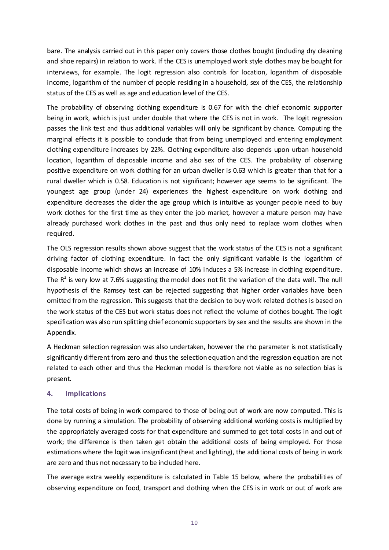bare. The analysis carried out in this paper only covers those clothes bought (including dry cleaning and shoe repairs) in relation to work. If the CES is unemployed work style clothes may be bought for interviews, for example. The logit regression also controls for location, logarithm of disposable income, logarithm of the number of people residing in a household, sex of the CES, the relationship status of the CES as well as age and education level of the CES.

The probability of observing dothing expenditure is 0.67 for with the chief economic supporter being in work, which is just under double that where the CES is not in work. The logit regression passes the link test and thus additional variables will only be significant by chance. Computing the marginal effects it is possible to condude that from being unemployed and entering employment clothing expenditure increases by 22%. Clothing expenditure also depends upon urban household location, logarithm of disposable income and also sex of the CES. The probability of observing positive expenditure on work clothing for an urban dweller is 0.63 which is greater than that for a rural dweller which is 0.58. Education is not significant; however age seems to be significant. The youngest age group (under 24) experiences the highest expenditure on work dothing and expenditure decreases the older the age group which is intuitive as younger people need to buy work clothes for the first time as they enter the job market, however a mature person may have already purchased work clothes in the past and thus only need to replace worn clothes when required.

The OLS regression results shown above suggest that the work status of the CES is not a significant driving factor of clothing expenditure. In fact the only significant variable is the logarithm of disposable income which shows an increase of 10% induces a 5% increase in clothing expenditure. The  $R^2$  is very low at 7.6% suggesting the model does not fit the variation of the data well. The null hypothesis of the Ramsey test can be rejected suggesting that higher order variables have been omitted from the regression. This suggests that the decision to buy work related dothes is based on the work status of the CES but work status does not reflect the volume of clothes bought. The logit specification was also run splitting chief economic supporters by sex and the results are shown in the Appendix.

A Heckman selection regression was also undertaken, however the rho parameter is not statistically significantly different from zero and thus the selection equation and the regression equation are not related to each other and thus the Heckman model is therefore not viable as no selection bias is present.

#### **4. Implications**

The total costs of being in work compared to those of being out of work are now computed. This is done by running a simulation. The probability of observing additional working costs is multiplied by the appropriately averaged costs for that expenditure and summed to get total costs in and out of work; the difference is then taken get obtain the additional costs of being employed. For those estimations where the logit was insignificant (heat and lighting), the additional costs of being in work are zero and thus not necessary to be included here.

The average extra weekly expenditure is calculated in Table 15 below, where the probabilities of observing expenditure on food, transport and clothing when the CES is in work or out of work are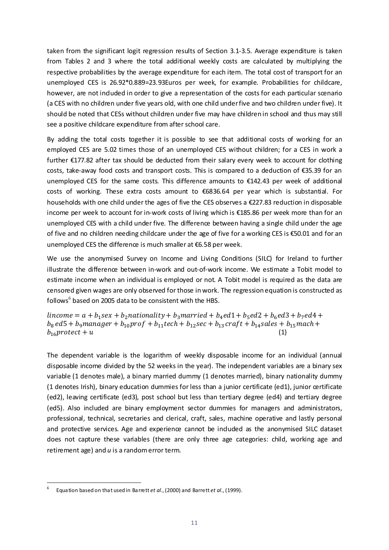taken from the significant logit regression results of Section 3.1-3.5. Average expenditure is taken from Tables 2 and 3 where the total additional weekly costs are calculated by multiplying the respective probabilities by the average expenditure for each item. The total cost of transport for an unemployed CES is 26.92\*0.889=23.93Euros per week, for example. Probabilities for childcare, however, are not induded in order to give a representation of the costs for each particular scenario (a CES with no children under five years old, with one child under five and two children under five). It should be noted that CESs without children under five may have children in school and thus may still see a positive childcare expenditure from after school care.

By adding the total costs together it is possible to see that additional costs of working for an employed CES are 5.02 times those of an unemployed CES without children; for a CES in work a further €177.82 after tax should be deducted from their salary every week to account for clothing costs, take-away food costs and transport costs. This is compared to a deduction of €35.39 for an unemployed CES for the same costs. This difference amounts to €142.43 per week of additional costs of working. These extra costs amount to €6836.64 per year which is substantial. For households with one child under the ages of five the CES observes a €227.83 reduction in disposable income per week to account for in-work costs of living which is €185.86 per week more than for an unemployed CES with a child under five. The difference between having a single child under the age of five and no children needing childcare under the age of five for a working CES is €50.01 and for an unemployed CES the difference is much smaller at €6.58 per week.

We use the anonymised Survey on Income and Living Conditions (SILC) for Ireland to further illustrate the difference between in-work and out-of-work income. We estimate a Tobit model to estimate income when an individual is employed or not. A Tobit model is required as the data are censored given wages are only observed for those in work. The regression equation is constructed as follows<sup>[6](#page-10-0)</sup> based on 2005 data to be consistent with the HBS.

 $lineome = a + b_1 sex + b_2$ nationality +  $b_3$ married +  $b_4$ ed1 +  $b_5$ ed2 +  $b_6$ ed3 +  $b_7$ ed4 +  $b_8$  ed5 +  $b_9$ manager +  $b_{10}$ prof +  $b_{11}$ tech +  $b_{12}$ sec +  $b_{13}$ craft +  $b_{14}$ sales +  $b_{15}$ mach +  $b_{16}$ protect + u (1)  $b_{16}$  protect +  $u$ 

The dependent variable is the logarithm of weekly disposable income for an individual (annual disposable income divided by the 52 weeks in the year). The independent variables are a binary sex variable (1 denotes male), a binary married dummy (1 denotes married), binary nationality dummy (1 denotes Irish), binary education dummies for less than a junior certificate (ed1), junior certificate (ed2), leaving certificate (ed3), post school but less than tertiary degree (ed4) and tertiary degree (ed5). Also included are binary employment sector dummies for managers and administrators, professional, technical, secretaries and clerical, craft, sales, machine operative and lastly personal and protective services. Age and experience cannot be included as the anonymised SILC dataset does not capture these variables (there are only three age categories: child, working age and retirement age) and *u* is a random error term.

<span id="page-10-0"></span> <sup>6</sup> Equation based on that used in Barrett *et al*., (2000) and Barrett *et al*., (1999).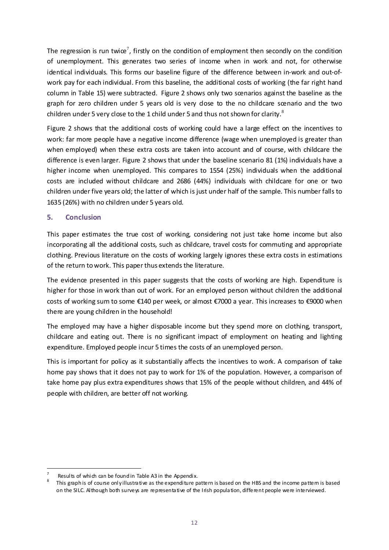The regression is run twice<sup>[7](#page-11-0)</sup>, firstly on the condition of employment then secondly on the condition of unemployment. This generates two series of income when in work and not, for otherwise identical individuals. This forms our baseline figure of the difference between in-work and out-ofwork pay for each individual. From this baseline, the additional costs of working (the far right hand column in Table 15) were subtracted. Figure 2 shows only two scenarios against the baseline as the graph for zero children under 5 years old is very dose to the no childcare scenario and the two children under 5 very close to the 1 child under 5 and thus not shown for clarity. $8$ 

Figure 2 shows that the additional costs of working could have a large effect on the incentives to work: far more people have a negative income difference (wage when unemployed is greater than when employed) when these extra costs are taken into account and of course, with childcare the difference is even larger. Figure 2 shows that under the baseline scenario 81 (1%) individuals have a higher income when unemployed. This compares to 1554 (25%) individuals when the additional costs are included without childcare and 2686 (44%) individuals with childcare for one or two children under five years old; the latter of which is just under half of the sample. This number falls to 1635 (26%) with no children under 5 years old.

#### **5. Conclusion**

This paper estimates the true cost of working, considering not just take home income but also incorporating all the additional costs, such as childcare, travel costs for commuting and appropriate clothing. Previous literature on the costs of working largely ignores these extra costs in estimations of the return to work. This paper thus extends the literature.

The evidence presented in this paper suggests that the costs of working are high. Expenditure is higher for those in work than out of work. For an employed person without children the additional costs of working sum to some €140 per week, or almost €7000 a year. This increases to €9000 when there are young children in the household!

The employed may have a higher disposable income but they spend more on clothing, transport, childcare and eating out. There is no significant impact of employment on heating and lighting expenditure. Employed people incur 5 times the costs of an unemployed person.

This is important for policy as it substantially affects the incentives to work. A comparison of take home pay shows that it does not pay to work for 1% of the population. However, a comparison of take home pay plus extra expenditures shows that 15% of the people without children, and 44% of people with children, are better off not working.

<span id="page-11-1"></span><span id="page-11-0"></span>Results of which can be found in Table A3 in the Appendix.<br>This graph is of course only illustrative as the expenditure pattern is based on the HBS and the income pattern is based on the SILC. Although both surveys are representative of the Irish population, different people were interviewed.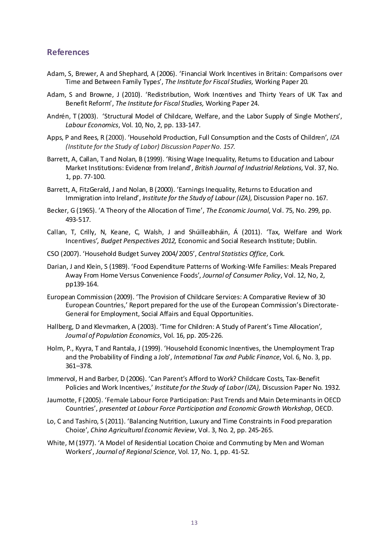#### **References**

- Adam, S, Brewer, A and Shephard, A (2006). 'Financial Work Incentives in Britain: Comparisons over Time and Between Family Types', *The Institute for Fiscal Studies,* Working Paper 20*.*
- Adam, S and Browne, J (2010). 'Redistribution, Work Incentives and Thirty Years of UK Tax and Benefit Reform', *The Institute for Fiscal Studies,* Working Paper 24.
- Andrén, T (2003). 'Structural Model of Childcare, Welfare, and the Labor Supply of Single Mothers', *Labour Economics*, Vol. 10, No, 2, pp. 133-147.
- Apps, P and Rees, R (2000). 'Household Production, Full Consumption and the Costs of Children', *IZA (Institute for the Study of Labor) Discussion Paper No. 157.*
- Barrett, A, Callan, T and Nolan, B (1999). 'Rising Wage Inequality, Returns to Education and Labour Market Institutions: Evidence from Ireland', *British Journal of Industrial Relations,* Vol. 37, No. 1, pp. 77-100.
- Barrett, A, FitzGerald, J and Nolan, B (2000). 'Earnings Inequality, Returns to Education and Immigration into Ireland', *Institute for the Study of Labour (IZA)*, Discussion Paper no. 167.
- Becker, G (1965). 'A Theory of the Allocation of Time', *The Economic Journal*, Vol. 75, No. 299, pp. 493-517.
- Callan, T, Crilly, N, Keane, C, Walsh, J and Shúilleabháin, Á (2011). 'Tax, Welfare and Work Incentives*', Budget Perspectives 2012,* Economic and Social Research Institute; Dublin*.*
- CSO (2007). 'Household Budget Survey 2004/2005', *Central Statistics Office*, Cork.
- Darian, J and Klein, S (1989). 'Food Expenditure Patterns of Working-Wife Families: Meals Prepared Away From Home Versus Convenience Foods', *Journal of Consumer Policy*, Vol. 12, No, 2, pp139-164.
- European Commission (2009). 'The Provision of Childcare Services: A Comparative Review of 30 European Countries,' Report prepared for the use of the European Commission's Directorate-General for Employment, Social Affairs and Equal Opportunities.
- Hallberg, D and Klevmarken, A (2003). 'Time for Children: A Study of Parent's Time Allocation', *Journal of Population Economics*, Vol. 16, pp. 205-226.
- Holm, P., Kyyra, T and Rantala, J (1999). 'Household Economic Incentives, the Unemployment Trap and the Probability of Finding a Job', *International Tax and Public Finance*, Vol. 6, No. 3, pp.  $361 - 378$ .
- Immervol, H and Barber, D (2006). 'Can Parent's Afford to Work? Childcare Costs, Tax-Benefit Policies and Work Incentives,' *Institute for the Study of Labor (IZA),* Discussion Paper No. 1932*.*
- Jaumotte, F (2005). 'Female Labour Force Participation: Past Trends and Main Determinants in OECD Countries', *presented at Labour Force Participation and Economic Growth Workshop*, OECD.
- Lo, C and Tashiro, S (2011). 'Balancing Nutrition, Luxury and Time Constraints in Food preparation Choice', *China Agricultural Economic Review*, Vol. 3, No. 2, pp. 245-265.
- White, M (1977). 'A Model of Residential Location Choice and Commuting by Men and Woman Workers', *Journal of Regional Science*, Vol. 17, No. 1, pp. 41-52.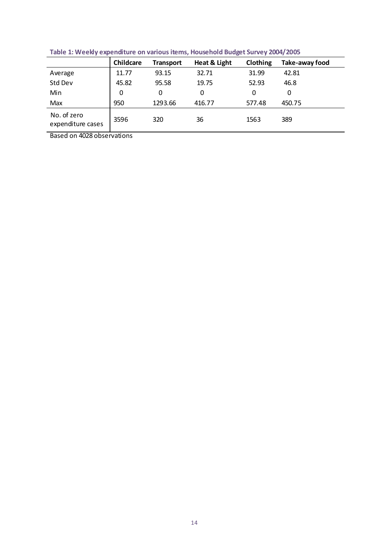|                                  | Childcare    | <b>Transport</b> | Heat & Light | Clothing | Take-away food |
|----------------------------------|--------------|------------------|--------------|----------|----------------|
| Average                          | 11.77        | 93.15            | 32.71        | 31.99    | 42.81          |
| Std Dev                          | 45.82        | 95.58            | 19.75        | 52.93    | 46.8           |
| Min                              | $\mathbf{0}$ | 0                | 0            | 0        | 0              |
| Max                              | 950          | 1293.66          | 416.77       | 577.48   | 450.75         |
| No. of zero<br>expenditure cases | 3596         | 320              | 36           | 1563     | 389            |
| $\sim$ $\sim$ $\sim$<br>$\sim$   | $\cdot$ .    |                  |              |          |                |

**Table 1: Weekly expenditure on various items, Household Budget Survey 2004/2005**

Based on 4028 observations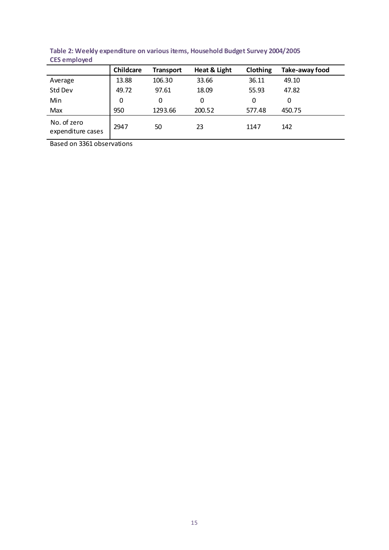| <b>CLACHINOVOR</b>               |           |                  |              |          |                |
|----------------------------------|-----------|------------------|--------------|----------|----------------|
|                                  | Childcare | <b>Transport</b> | Heat & Light | Clothing | Take-away food |
| Average                          | 13.88     | 106.30           | 33.66        | 36.11    | 49.10          |
| Std Dev                          | 49.72     | 97.61            | 18.09        | 55.93    | 47.82          |
| Min                              | 0         | 0                | 0            | 0        | 0              |
| Max                              | 950       | 1293.66          | 200.52       | 577.48   | 450.75         |
| No. of zero<br>expenditure cases | 2947      | 50               | 23           | 1147     | 142            |

**Table 2: Weekly expenditure on various items, Household Budget Survey 2004/2005 CES employed**

Based on 3361 observations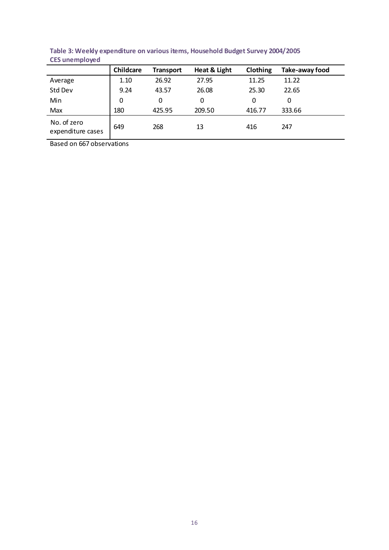|                                  | Childcare | <b>Transport</b> | Heat & Light | Clothing | Take-away food |
|----------------------------------|-----------|------------------|--------------|----------|----------------|
| Average                          | 1.10      | 26.92            | 27.95        | 11.25    | 11.22          |
| Std Dev                          | 9.24      | 43.57            | 26.08        | 25.30    | 22.65          |
| Min                              | 0         | 0                | 0            | 0        | 0              |
| Max                              | 180       | 425.95           | 209.50       | 416.77   | 333.66         |
| No. of zero<br>expenditure cases | 649       | 268              | 13           | 416      | 247            |

**Table 3: Weekly expenditure on various items, Household Budget Survey 2004/2005 CES unemployed**

Based on 667 observations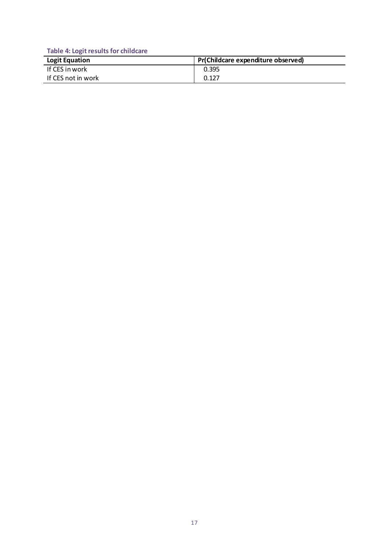**Table 4: Logit results for childcare** 

| <b>Logit Equation</b> | Pr(Childcare expenditure observed) |
|-----------------------|------------------------------------|
| If CES in work        | 0.395                              |
| If CES not in work    | 0.127                              |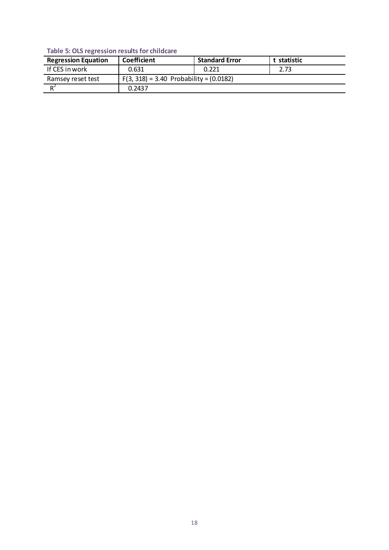## **Table 5: OLS regression results for childcare**

| <b>Regression Equation</b> | Coefficient                                 | <b>Standard Error</b> | t statistic |  |  |
|----------------------------|---------------------------------------------|-----------------------|-------------|--|--|
| If CES in work             | 0.631                                       | 0.221                 | 2.73        |  |  |
| Ramsey reset test          | $F(3, 318) = 3.40$ Probability = $(0.0182)$ |                       |             |  |  |
| $R^2$                      | 0.2437                                      |                       |             |  |  |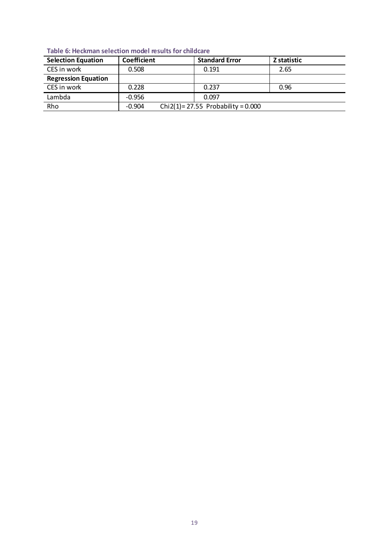| <b>Selection Equation</b>  | Coefficient |                                     | <b>Standard Error</b> | Z statistic |  |
|----------------------------|-------------|-------------------------------------|-----------------------|-------------|--|
| CES in work                | 0.508       |                                     | 0.191                 | 2.65        |  |
| <b>Regression Equation</b> |             |                                     |                       |             |  |
| CES in work                | 0.228       |                                     | 0.237                 | 0.96        |  |
| Lambda                     | $-0.956$    |                                     | 0.097                 |             |  |
| Rho                        | $-0.904$    | Chi2(1)=27.55 Probability = $0.000$ |                       |             |  |

**Table 6: Heckman selection model results for childcare**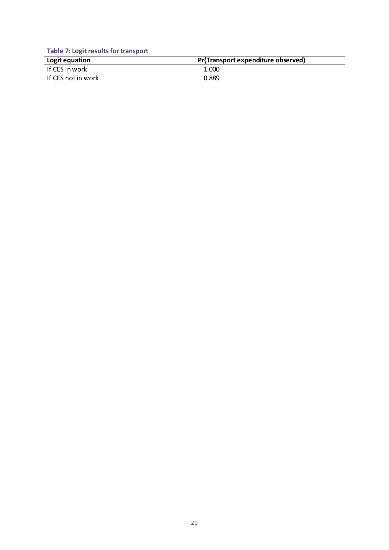**Table 7: Logit results for transport** 

| Logit equation     | Pr(Transport expenditure observed) |
|--------------------|------------------------------------|
| If CES in work     | 1.000                              |
| If CES not in work | 0.889                              |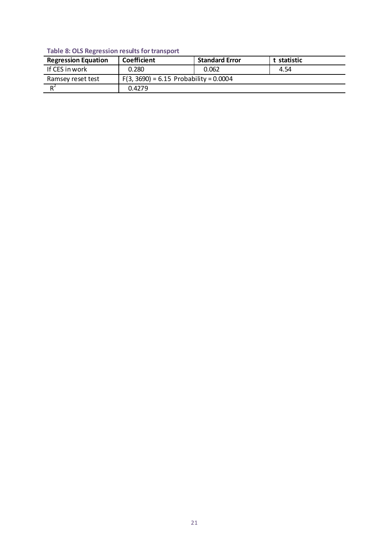### **Table 8: OLS Regression results for transport**

| <b>Regression Equation</b> | Coefficient                              | <b>Standard Error</b> | t statistic |  |  |
|----------------------------|------------------------------------------|-----------------------|-------------|--|--|
| If CES in work             | 0.280                                    | 0.062                 | 4.54        |  |  |
| Ramsey reset test          | $F(3, 3690) = 6.15$ Probability = 0.0004 |                       |             |  |  |
| $\mathbf{D}^2$             | 0.4279                                   |                       |             |  |  |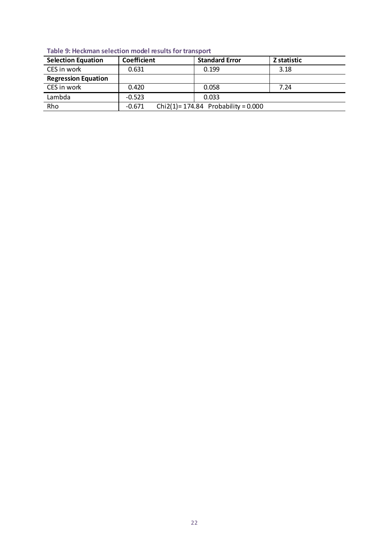| <b>Selection Equation</b>  | Coefficient | <b>Standard Error</b>                 | Z statistic |
|----------------------------|-------------|---------------------------------------|-------------|
| CES in work                | 0.631       | 0.199                                 | 3.18        |
| <b>Regression Equation</b> |             |                                       |             |
| CES in work                | 0.420       | 0.058                                 | 7.24        |
| Lambda                     | $-0.523$    | 0.033                                 |             |
| Rho                        | $-0.671$    | Chi2(1)= $174.84$ Probability = 0.000 |             |

**Table 9: Heckman selection model results for transport**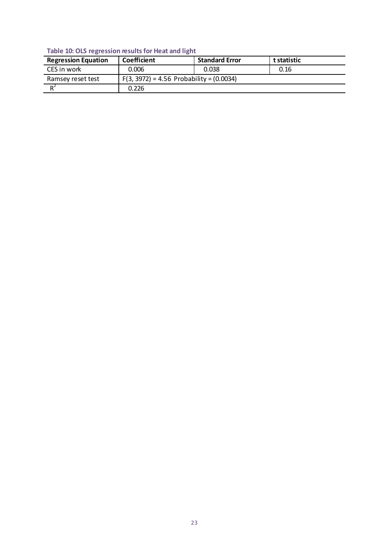## **Table 10: OLS regression results for Heat and light**

| <b>Regression Equation</b> | Coefficient                                  | <b>Standard Error</b> | t statistic |  |  |
|----------------------------|----------------------------------------------|-----------------------|-------------|--|--|
| CES in work                | 0.006                                        | 0.038                 | 0.16        |  |  |
| Ramsey reset test          | $F(3, 3972) = 4.56$ Probability = $(0.0034)$ |                       |             |  |  |
| $R^2$                      | 0.226                                        |                       |             |  |  |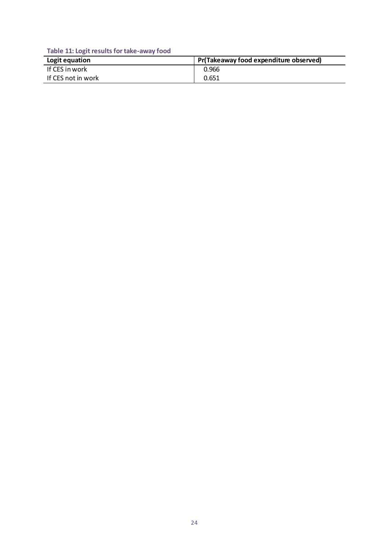**Table 11: Logit results for take-away food**

| Logit equation     | Pr(Takeaway food expenditure observed) |
|--------------------|----------------------------------------|
| If CES in work     | 0.966                                  |
| If CES not in work | 0.651                                  |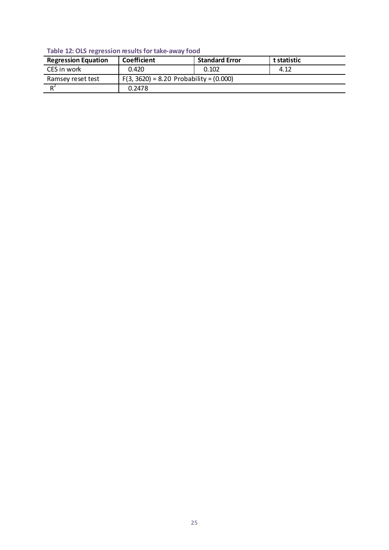## **Table 12: OLS regression results for take-away food**

| <b>Regression Equation</b> | Coefficient                                 | <b>Standard Error</b> | t statistic |  |  |
|----------------------------|---------------------------------------------|-----------------------|-------------|--|--|
| CES in work                | 0.420                                       | 0.102                 | 4.12        |  |  |
| Ramsey reset test          | $F(3, 3620) = 8.20$ Probability = $(0.000)$ |                       |             |  |  |
| D                          | 0.2478                                      |                       |             |  |  |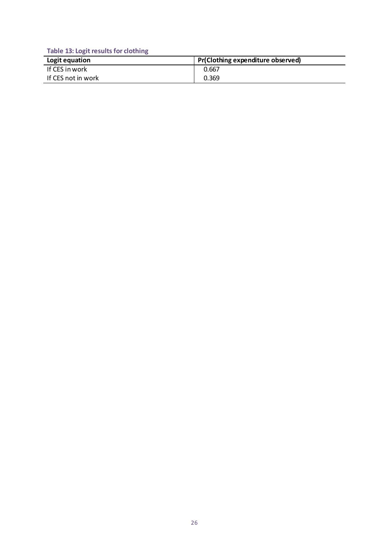**Table 13: Logit results for clothing**

| Logit equation     | Pr(Clothing expenditure observed) |
|--------------------|-----------------------------------|
| If CES in work     | 0.667                             |
| If CES not in work | 0.369                             |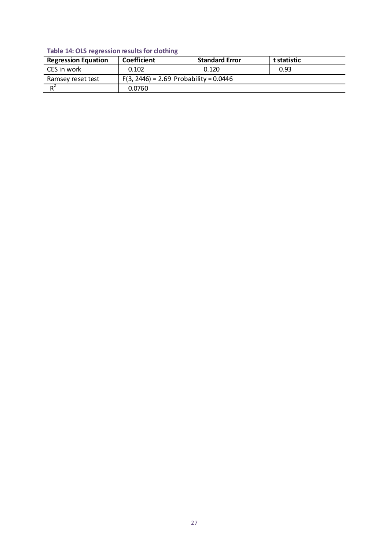## **Table 14: OLS regression results for clothing**

| <b>Regression Equation</b> | Coefficient                              | <b>Standard Error</b> | t statistic |
|----------------------------|------------------------------------------|-----------------------|-------------|
| CES in work                | 0.102                                    | 0.120                 | 0.93        |
| Ramsey reset test          | $F(3, 2446) = 2.69$ Probability = 0.0446 |                       |             |
| $R^2$                      | 0.0760                                   |                       |             |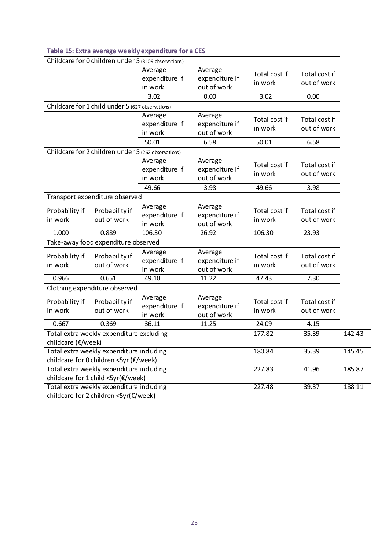|                           |                                                                                   | Childcare for 0 children under 5 (3109 observations) |                                          |                          |                              |        |
|---------------------------|-----------------------------------------------------------------------------------|------------------------------------------------------|------------------------------------------|--------------------------|------------------------------|--------|
|                           |                                                                                   | Average<br>expenditure if<br>in work                 | Average<br>expenditure if<br>out of work | Total cost if<br>in work | Total cost if<br>out of work |        |
|                           |                                                                                   | 3.02                                                 | 0.00                                     | 3.02                     | 0.00                         |        |
|                           | Childcare for 1 child under 5 (627 observations)                                  |                                                      |                                          |                          |                              |        |
|                           |                                                                                   | Average<br>expenditure if<br>in work                 | Average<br>expenditure if<br>out of work | Total cost if<br>in work | Total cost if<br>out of work |        |
|                           |                                                                                   | 50.01                                                | 6.58                                     | 50.01                    | 6.58                         |        |
|                           | Childcare for 2 children under 5 (262 observations)                               |                                                      |                                          |                          |                              |        |
|                           |                                                                                   | Average<br>expenditure if<br>in work                 | Average<br>expenditure if<br>out of work | Total cost if<br>in work | Total cost if<br>out of work |        |
|                           |                                                                                   | 49.66                                                | 3.98                                     | 49.66                    | 3.98                         |        |
|                           | Transport expenditure observed                                                    |                                                      |                                          |                          |                              |        |
| Probability if<br>in work | Probability if<br>out of work                                                     | Average<br>expenditure if<br>in work                 | Average<br>expenditure if<br>out of work | Total cost if<br>in work | Total cost if<br>out of work |        |
|                           | 0.889                                                                             | 106.30                                               | 26.92                                    | 106.30                   | 23.93                        |        |
| 1.000                     |                                                                                   |                                                      |                                          |                          |                              |        |
|                           | Take-away food expenditure observed                                               |                                                      |                                          |                          |                              |        |
| Probability if<br>in work | Probability if<br>out of work                                                     | Average<br>expenditure if<br>in work                 | Average<br>expenditure if<br>out of work | Total cost if<br>in work | Total cost if<br>out of work |        |
| 0.966                     | 0.651                                                                             | 49.10                                                | 11.22                                    | 47.43                    | 7.30                         |        |
|                           | Clothing expenditure observed                                                     |                                                      |                                          |                          |                              |        |
| Probability if<br>in work | Probability if<br>out of work                                                     | Average<br>expenditure if<br>in work                 | Average<br>expenditure if<br>out of work | Total cost if<br>in work | Total cost if<br>out of work |        |
| 0.667                     | 0.369                                                                             | 36.11                                                | 11.25                                    | 24.09                    | 4.15                         |        |
| childcare (€/week)        | Total extra weekly expenditure excluding                                          |                                                      |                                          | 177.82                   | 35.39                        | 142.43 |
|                           | Total extra weekly expenditure induding<br>childcare for 0 children <5yr (€/week) |                                                      |                                          | 180.84                   | 35.39                        | 145.45 |
|                           | Total extra weekly expenditure induding<br>childcare for 1 child <5yr(€/week)     |                                                      |                                          | 227.83                   | 41.96                        | 185.87 |

## **Table 15: Extra average weekly expenditure for a CES**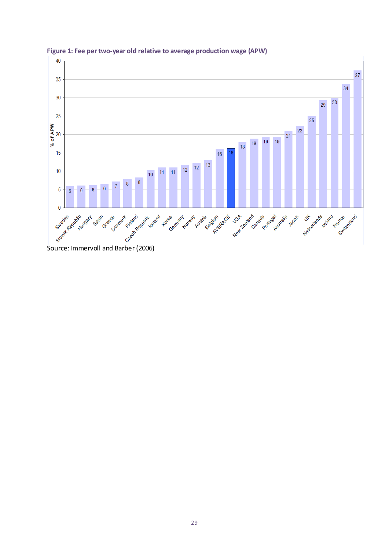

**Figure 1: Fee per two-year old relative to average production wage (APW)**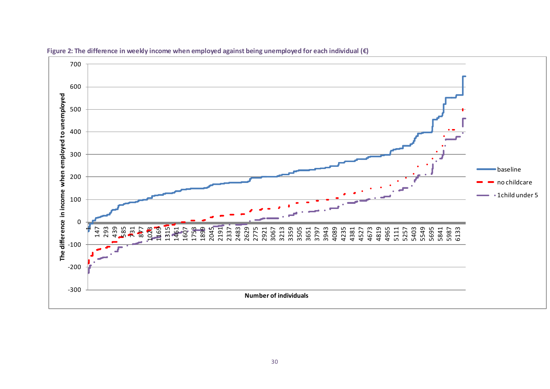

**Figure 2: The difference in weekly income when employed against being unemployed for each individual (€)**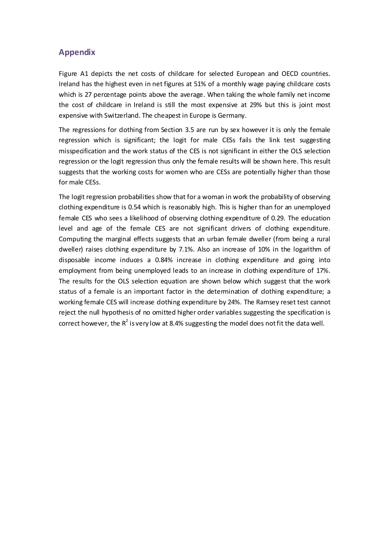## **Appendix**

Figure A1 depicts the net costs of childcare for selected European and OECD countries. Ireland has the highest even in net figures at 51% of a monthly wage paying childcare costs which is 27 percentage points above the average. When taking the whole family net income the cost of childcare in Ireland is still the most expensive at 29% but this is joint most expensive with Switzerland. The cheapest in Europe is Germany.

The regressions for dothing from Section 3.5 are run by sex however it is only the female regression which is significant; the logit for male CESs fails the link test suggesting misspecification and the work status of the CES is not significant in either the OLS selection regression or the logit regression thus only the female results will be shown here. This result suggests that the working costs for women who are CESs are potentially higher than those for male CESs.

The logit regression probabilities show that for a woman in work the probability of observing clothing expenditure is 0.54 which is reasonably high. This is higher than for an unemployed female CES who sees a likelihood of observing clothing expenditure of 0.29. The education level and age of the female CES are not significant drivers of clothing expenditure. Computing the marginal effects suggests that an urban female dweller (from being a rural dweller) raises clothing expenditure by 7.1%. Also an increase of 10% in the logarithm of disposable income induces a 0.84% increase in clothing expenditure and going into employment from being unemployed leads to an increase in clothing expenditure of 17%. The results for the OLS selection equation are shown below which suggest that the work status of a female is an important factor in the determination of dothing expenditure; a working female CES will increase dothing expenditure by 24%. The Ramsey reset test cannot reject the null hypothesis of no omitted higher order variables suggesting the specification is correct however, the  $R^2$  is very low at 8.4% suggesting the model does not fit the data well.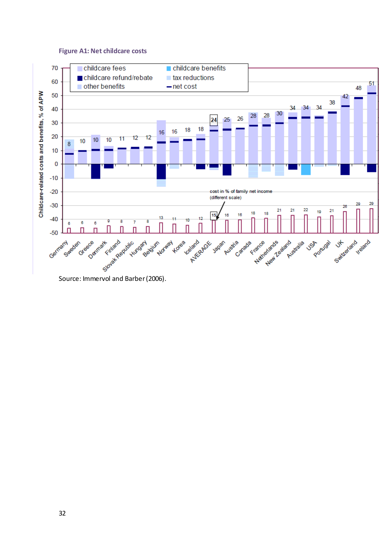#### **Figure A1: Net childcare costs**

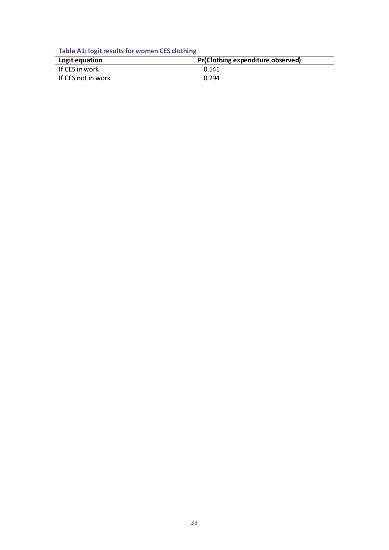**Table A1: logit results for women CES clothing**

| Logit equation     | Pr(Clothing expenditure observed) |
|--------------------|-----------------------------------|
| If CES in work     | 0.541                             |
| If CES not in work | 0.294                             |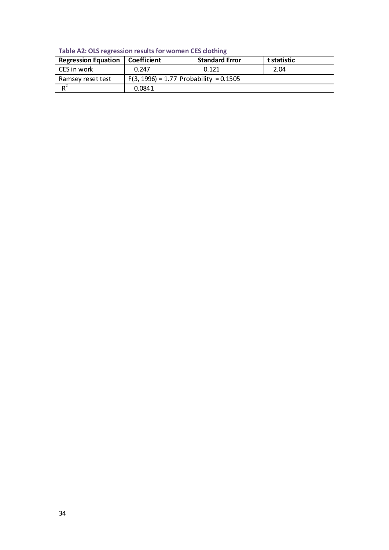**Table A2: OLS regression results for women CES clothing**

| <b>Regression Equation</b> | Coefficient                              | <b>Standard Error</b> | t statistic |
|----------------------------|------------------------------------------|-----------------------|-------------|
| CES in work                | 0.247                                    | 0.121                 | 2.04        |
| Ramsey reset test          | $F(3, 1996) = 1.77$ Probability = 0.1505 |                       |             |
|                            | 0.0841                                   |                       |             |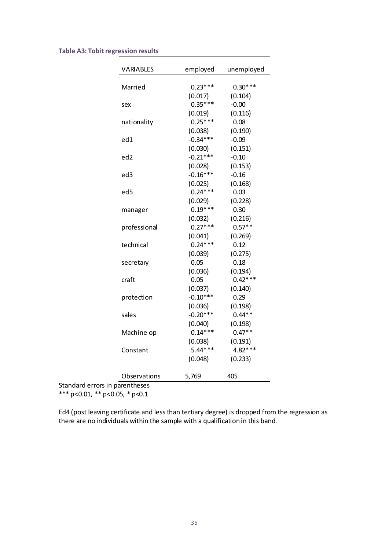#### **Table A3: Tobit regression results**

| <b>VARIABLES</b>               | employed   | unemployed |
|--------------------------------|------------|------------|
| Married                        | $0.23***$  | $0.30***$  |
|                                | (0.017)    | (0.104)    |
| sex                            | $0.35***$  | $-0.00$    |
|                                | (0.019)    | (0.116)    |
| nationality                    | $0.25***$  | 0.08       |
|                                | (0.038)    | (0.190)    |
| ed1                            | $-0.34***$ | $-0.09$    |
|                                | (0.030)    | (0.151)    |
| ed <sub>2</sub>                | $-0.21***$ | $-0.10$    |
|                                | (0.028)    | (0.153)    |
| ed3                            | $-0.16***$ | $-0.16$    |
|                                | (0.025)    | (0.168)    |
| ed5                            | $0.24***$  | 0.03       |
|                                | (0.029)    | (0.228)    |
| manager                        | $0.19***$  | 0.30       |
|                                | (0.032)    | (0.216)    |
| professional                   | $0.27***$  | $0.57**$   |
|                                | (0.041)    | (0.269)    |
| technical                      | $0.24***$  | 0.12       |
|                                | (0.039)    | (0.275)    |
| secretary                      | 0.05       | 0.18       |
|                                | (0.036)    | (0.194)    |
| craft                          | 0.05       | $0.42***$  |
|                                | (0.037)    | (0.140)    |
| protection                     | $-0.10***$ | 0.29       |
|                                | (0.036)    | (0.198)    |
| sales                          | $-0.20***$ | $0.44**$   |
|                                | (0.040)    | (0.198)    |
| Machine op                     | $0.14***$  | $0.47**$   |
|                                | (0.038)    | (0.191)    |
| Constant                       | $5.44***$  | 4.82***    |
|                                | (0.048)    | (0.233)    |
| Observations                   | 5,769      | 405        |
| Standard errors in parentheses |            |            |

\*\*\* p<0.01, \*\* p<0.05, \* p<0.1

Ed4 (post leaving certificate and less than tertiary degree) is dropped from the regression as there are no individuals within the sample with a qualification in this band.